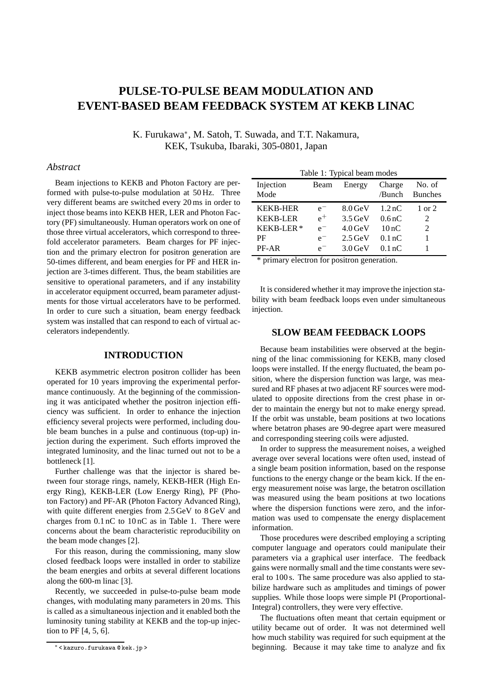# **PULSE-TO-PULSE BEAM MODULATION AND EVENT-BASED BEAM FEEDBACK SYSTEM AT KEKB LINAC**

K. Furukawa<sup>∗</sup> , M. Satoh, T. Suwada, and T.T. Nakamura, KEK, Tsukuba, Ibaraki, 305-0801, Japan

## *Abstract*

Beam injections to KEKB and Photon Factory are performed with pulse-to-pulse modulation at 50 Hz. Three very different beams are switched every 20 ms in order to inject those beams into KEKB HER, LER and Photon Factory (PF) simultaneously. Human operators work on one of those three virtual accelerators, which correspond to threefold accelerator parameters. Beam charges for PF injection and the primary electron for positron generation are 50-times different, and beam energies for PF and HER injection are 3-times different. Thus, the beam stabilities are sensitive to operational parameters, and if any instability in accelerator equipment occurred, beam parameter adjustments for those virtual accelerators have to be performed. In order to cure such a situation, beam energy feedback system was installed that can respond to each of virtual accelerators independently.

## **INTRODUCTION**

KEKB asymmetric electron positron collider has been operated for 10 years improving the experimental performance continuously. At the beginning of the commissioning it was anticipated whether the positron injection efficiency was sufficient. In order to enhance the injection efficiency several projects were performed, including double beam bunches in a pulse and continuous (top-up) injection during the experiment. Such efforts improved the integrated luminosity, and the linac turned out not to be a bottleneck [1].

Further challenge was that the injector is shared between four storage rings, namely, KEKB-HER (High Energy Ring), KEKB-LER (Low Energy Ring), PF (Photon Factory) and PF-AR (Photon Factory Advanced Ring), with quite different energies from 2.5 GeV to 8 GeV and charges from 0.1 nC to 10 nC as in Table 1. There were concerns about the beam characteristic reproducibility on the beam mode changes [2].

For this reason, during the commissioning, many slow closed feedback loops were installed in order to stabilize the beam energies and orbits at several different locations along the 600-m linac [3].

Recently, we succeeded in pulse-to-pulse beam mode changes, with modulating many parameters in 20 ms. This is called as a simultaneous injection and it enabled both the luminosity tuning stability at KEKB and the top-up injection to PF [4, 5, 6].

| Table 1: Typical beam modes |         |           |                    |                          |
|-----------------------------|---------|-----------|--------------------|--------------------------|
| Injection<br>Mode           | Beam    | Energy    | Charge<br>/Bunch   | No. of<br><b>Bunches</b> |
| <b>KEKB-HER</b>             | $e^{-}$ | $8.0$ GeV | 1.2 <sub>n</sub> C | 1 or 2                   |
| <b>KEKB-LER</b>             | $e^+$   | $3.5$ GeV | 0.6 <sub>nC</sub>  | 2                        |
| KEKB-LER*                   | $e^-$   | $4.0$ GeV | 10nC               | $\mathfrak{D}$           |
| PF                          | $e^-$   | $2.5$ GeV | 0.1 <sub>nC</sub>  |                          |
| PF-AR                       | $e^{-}$ | $3.0$ GeV | 0.1 <sub>n</sub> C |                          |

\* primary electron for positron generation.

It is considered whether it may improve the injection stability with beam feedback loops even under simultaneous injection.

# **SLOW BEAM FEEDBACK LOOPS**

Because beam instabilities were observed at the beginning of the linac commissioning for KEKB, many closed loops were installed. If the energy fluctuated, the beam position, where the dispersion function was large, was measured and RF phases at two adjacent RF sources were modulated to opposite directions from the crest phase in order to maintain the energy but not to make energy spread. If the orbit was unstable, beam positions at two locations where betatron phases are 90-degree apart were measured and corresponding steering coils were adjusted.

In order to suppress the measurement noises, a weighed average over several locations were often used, instead of a single beam position information, based on the response functions to the energy change or the beam kick. If the energy measurement noise was large, the betatron oscillation was measured using the beam positions at two locations where the dispersion functions were zero, and the information was used to compensate the energy displacement information.

Those procedures were described employing a scripting computer language and operators could manipulate their parameters via a graphical user interface. The feedback gains were normally small and the time constants were several to 100 s. The same procedure was also applied to stabilize hardware such as amplitudes and timings of power supplies. While those loops were simple PI (Proportional-Integral) controllers, they were very effective.

The fluctuations often meant that certain equipment or utility became out of order. It was not determined well how much stability was required for such equipment at the beginning. Because it may take time to analyze and fix

<sup>∗</sup> < kazuro.furukawa @ kek.jp >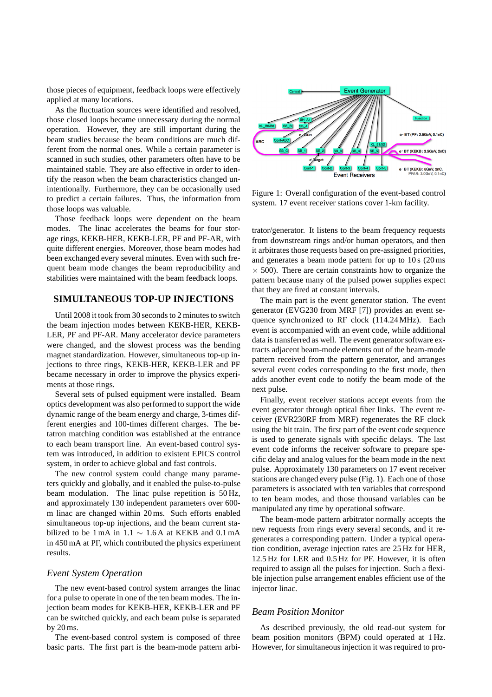those pieces of equipment, feedback loops were effectively applied at many locations.

As the fluctuation sources were identified and resolved, those closed loops became unnecessary during the normal operation. However, they are still important during the beam studies because the beam conditions are much different from the normal ones. While a certain parameter is scanned in such studies, other parameters often have to be maintained stable. They are also effective in order to identify the reason when the beam characteristics changed unintentionally. Furthermore, they can be occasionally used to predict a certain failures. Thus, the information from those loops was valuable.

Those feedback loops were dependent on the beam modes. The linac accelerates the beams for four storage rings, KEKB-HER, KEKB-LER, PF and PF-AR, with quite different energies. Moreover, those beam modes had been exchanged every several minutes. Even with such frequent beam mode changes the beam reproducibility and stabilities were maintained with the beam feedback loops.

## **SIMULTANEOUS TOP-UP INJECTIONS**

Until 2008 it took from 30 seconds to 2 minutes to switch the beam injection modes between KEKB-HER, KEKB-LER, PF and PF-AR. Many accelerator device parameters were changed, and the slowest process was the bending magnet standardization. However, simultaneous top-up injections to three rings, KEKB-HER, KEKB-LER and PF became necessary in order to improve the physics experiments at those rings.

Several sets of pulsed equipment were installed. Beam optics development was also performed to support the wide dynamic range of the beam energy and charge, 3-times different energies and 100-times different charges. The betatron matching condition was established at the entrance to each beam transport line. An event-based control system was introduced, in addition to existent EPICS control system, in order to achieve global and fast controls.

The new control system could change many parameters quickly and globally, and it enabled the pulse-to-pulse beam modulation. The linac pulse repetition is 50 Hz, and approximately 130 independent parameters over 600 m linac are changed within 20 ms. Such efforts enabled simultaneous top-up injections, and the beam current stabilized to be 1 mA in 1.1  $\sim$  1.6 A at KEKB and 0.1 mA in 450 mA at PF, which contributed the physics experiment results.

## *Event System Operation*

The new event-based control system arranges the linac for a pulse to operate in one of the ten beam modes. The injection beam modes for KEKB-HER, KEKB-LER and PF can be switched quickly, and each beam pulse is separated by 20 ms.

The event-based control system is composed of three basic parts. The first part is the beam-mode pattern arbi-



Figure 1: Overall configuration of the event-based control system. 17 event receiver stations cover 1-km facility.

trator/generator. It listens to the beam frequency requests from downstream rings and/or human operators, and then it arbitrates those requests based on pre-assigned priorities, and generates a beam mode pattern for up to 10 s (20 ms  $\times$  500). There are certain constraints how to organize the pattern because many of the pulsed power supplies expect that they are fired at constant intervals.

The main part is the event generator station. The event generator (EVG230 from MRF [7]) provides an event sequence synchronized to RF clock (114.24 MHz). Each event is accompanied with an event code, while additional data is transferred as well. The event generator software extracts adjacent beam-mode elements out of the beam-mode pattern received from the pattern generator, and arranges several event codes corresponding to the first mode, then adds another event code to notify the beam mode of the next pulse.

Finally, event receiver stations accept events from the event generator through optical fiber links. The event receiver (EVR230RF from MRF) regenerates the RF clock using the bit train. The first part of the event code sequence is used to generate signals with specific delays. The last event code informs the receiver software to prepare specific delay and analog values for the beam mode in the next pulse. Approximately 130 parameters on 17 event receiver stations are changed every pulse (Fig. 1). Each one of those parameters is associated with ten variables that correspond to ten beam modes, and those thousand variables can be manipulated any time by operational software.

The beam-mode pattern arbitrator normally accepts the new requests from rings every several seconds, and it regenerates a corresponding pattern. Under a typical operation condition, average injection rates are 25 Hz for HER, 12.5 Hz for LER and 0.5 Hz for PF. However, it is often required to assign all the pulses for injection. Such a flexible injection pulse arrangement enables efficient use of the injector linac.

#### *Beam Position Monitor*

As described previously, the old read-out system for beam position monitors (BPM) could operated at 1 Hz. However, for simultaneous injection it was required to pro